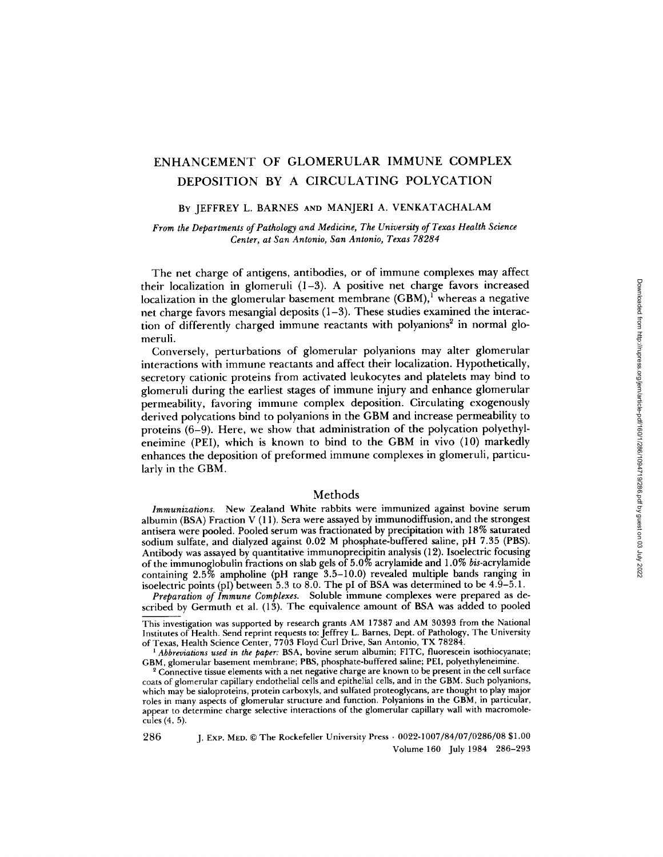# ENHANCEMENT OF GLOMERULAR IMMUNE COMPLEX DEPOSITION BY A CIRCULATING POLYCATION

## BY JEFFREY L. BARNES AND MANJERI A. VENKATACHALAM

# *From the Departments of Pathology and Medicine, The University of Texas Health Science Center, at San Antonio, San Antonio, Texas 78284*

The net charge of antigens, antibodies, or of immune complexes may affect their localization in glomeruli (1-3). A positive net charge favors increased localization in the glomerular basement membrane  $(GBM)$ , whereas a negative net charge favors mesangial deposits (1-3). These studies examined the interaction of differently charged immune reactants with polyanions<sup>2</sup> in normal glomeruli.

Conversely, perturbations of glomerular polyanions may alter glomerular interactions with immune reactants and affect their localization. Hypothetically, secretory cationic proteins from activated ieukocytes and platelets may bind to glomeruli during the earliest stages of immune injury and enhance glomerular permeability, favoring immune complex deposition. Circulating exogenously derived polycations bind to polyanions in the GBM and increase permeability to proteins (6-9). Here, we show that administration of the polycation polyethyleneimine (PEI), which is known to bind to the GBM in vivo (10) markedly enhances the deposition of preformed immune complexes in glomeruli, particularly in the GBM.

## Methods

*Immunizations.* New Zealand White rabbits were immunized against bovine serum albumin (BSA) Fraction V (11). Sera were assayed by immunodiffusion, and the strongest antisera were pooled. Pooled serum was fractionated by precipitation with 18% saturated sodium sulfate, and dialyzed against 0.02 M phosphate-buffered saline, pH 7.35 (PBS). Antibody was assayed by quantitative immunoprecipitin analysis (12). Isoelectric focusing of the immunoglobulin fractions on slab gels of 5.0% acrylamide and 1.0% *bis-acrylamide*  containing 2.5% ampholine (pH range 3.5-10.0) revealed multiple bands ranging in isoelectric points (pI) between 5.3 to 8.0. The pI of BSA was determined to be  $4.\overline{9} - 5.1$ .

*Preparation of Immune Complexes.* Soluble immune complexes were prepared as described by Germuth et al. (13). The equivalence amount of BSA was added to pooled

This investigation was supported by research grants AM 17387 and AM 30393 from the National Institutes of Health. Send reprint requests to: Jeffrey L. Barnes, Dept. of Pathology, The University of Texas, Health Science Center, 7703 Floyd Curl Drive, San Antonio, TX 78284.

*' Abbreviations used in the paper:* BSA, bovine serum albumin; FITC, fluorescein isothiocyanate; GBM, glomerular basement membrane; PBS, phosphate-buffered saline; PEI, polyethyleneimine.

<sup>2</sup> Connective tissue elements with a net negative charge are known to be present in the cell surface coats of glomerular capillary endothelial cells and epithelial cells, and in the GBM. Such polyanions, which may be sialoproteins, protein carboxyls, and sulfated proteoglycans, are thought to play major roles in many aspects of glomerular structure and function. Polyanions in the GBM, in particular, appear to determine charge selective interactions of the glomerular capillary wall with macromolecules (4, 5).

286 J. ExP. MED. © The Rockefeller University Press • *0022-1007/84/07/0286/08* \$1.00 Volume 160 July 1984 286-293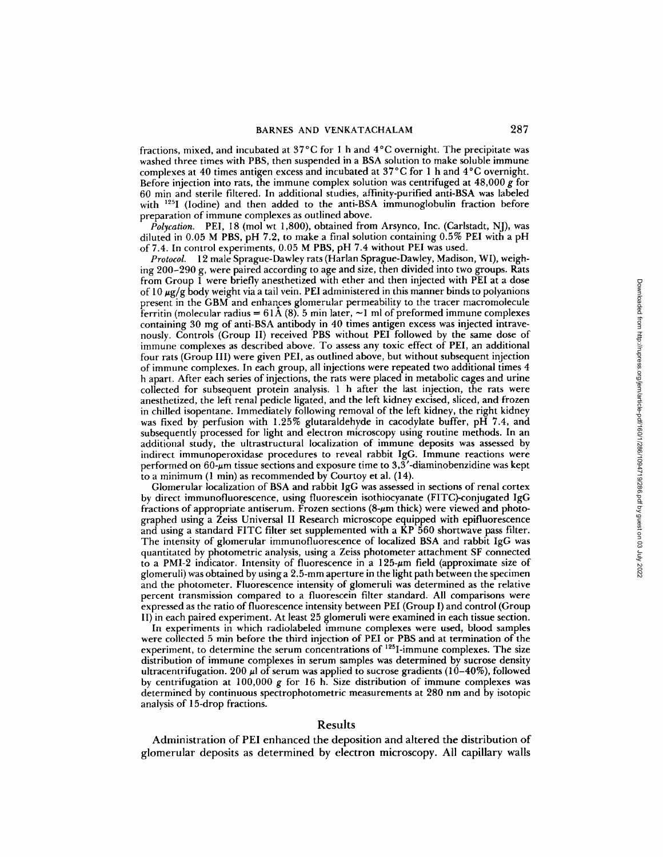fractions, mixed, and incubated at 37°C for I h and 4°C overnight. The precipitate was washed three times with PBS, then suspended in a BSA solution to make soluble immune complexes at 40 times antigen excess and incubated at 37°C for 1 h and 4°C overnight. Before injection into rats, the immune complex solution was centrifuged at  $48,000 \text{ g}$  for 60 min and sterile filtered. In additional studies, affinity-purified anti-BSA was labeled with  $^{125}I$  (Iodine) and then added to the anti-BSA immunoglobulin fraction before preparation of immune complexes as outlined above.

*Polycation.* PEI, 18 (mol wt 1,800), obtained from Arsynco, Inc. (Carlstadt, NJ), was diluted in 0.05 M PBS, pH 7.2, to make a final solution containing 0.5% PEI with a pH of 7.4. In control experiments, 0.05 M PBS, pH 7.4 without PEI was used.

*Protocol.* 12 male Sprague-Dawley rats (Harlan Sprague-Dawley, Madison, WI), weighing 200-290 g, were paired according to age and size, then divided into two groups. Rats from Group 1 were briefly anesthetized with ether and then injected with PEI at a dose of  $10 \mu g/g$  body weight via a tail vein. PEI administered in this manner binds to polyanions present in the GBM and enhances glomerular permeability to the tracer macromolecule ferritin (molecular radius =  $61\text{\AA}$  (8). 5 min later, ~1 ml of preformed immune complexes containing 30 mg of anti-BSA antibody in 40 times antigen excess was injected intravenously. Controls (Group II) received PBS without PEI followed by the same dose of immune complexes as described above. To assess any toxic effect of PEI, an additional four rats (Group III) were given PEI, as outlined above, but without subsequent injection of immune complexes. In each group, all injections were repeated two additional times 4 h apart. After each series of injections, the rats were placed in metabolic cages and urine collected for subsequent protein analysis. 1 h after the last injection, the rats were anesthetized, the left renal pedicle ligated, and the left kidney excised, sliced, and frozen in chilled isopentane. Immediately following removal of the left kidney, the right kidney was fixed by perfusion with 1.25% glutaraldehyde in cacodylate buffer, pH 7.4, and subsequently processed for light and electron microscopy using routine methods. In an additional study, the ultrastructural localization of immune deposits was assessed by indirect immunoperoxidase procedures to reveal rabbit IgG. Immune reactions were performed on  $60$ - $\mu$ m tissue sections and exposure time to  $3,\overline{3}'$ -diaminobenzidine was kept to a minimum  $(1 \text{ min})$  as recommended by Courtoy et al.  $(14)$ .

Glomerular localization of BSA and rabbit IgG was assessed in sections of renal cortex by direct immunofluorescence, using fluorescein isothiocyanate (FITC)-conjugated IgG fractions of appropriate antiserum. Frozen sections  $(8-\mu m)$  thick) were viewed and photographed using a Zeiss Universal II Research microscope equipped with epifluorescence and using a standard FITC filter set supplemented with a KP 560 shortwave pass filter. The intensity of glomerular immunofluorescence of localized BSA and rabbit IgG was quantitated by photometric analysis, using a Zeiss photometer attachment SF connected to a PMI-2 indicator. Intensity of fluorescence in a 125-gm field (approximate size of glomeruli) was obtained by using a 2.5-mm aperture in the light path between the specimen and the photometer. Fluorescence intensity of glomeruli was determined as the relative percent transmission compared to a fluorescein filter standard. All comparisons were expressed as the ratio of fluorescence intensity between PEI (Group I) and control (Group II) in each paired experiment. At least 25 glomeruli were examined in each tissue section.

In experiments in which radiolabeled immune complexes were used, blood samples were collected 5 min before the third injection of PEI or PBS and at termination of the experiment, to determine the serum concentrations of  $^{125}$ I-immune complexes. The size distribution of immune complexes in serum samples was determined by sucrose density ultracentrifugation. 200  $\mu$ l of serum was applied to sucrose gradients (10–40%), followed by centrifugation at 100,000 g for 16 h. Size distribution of immune complexes was determined by continuous spectrophotometric measurements at 280 nm and by isotopic analysis of 15-drop fractions.

## Results

Administration of PEI enhanced the deposition and altered the distribution of glomerular deposits as determined by electron microscopy. All capillary walls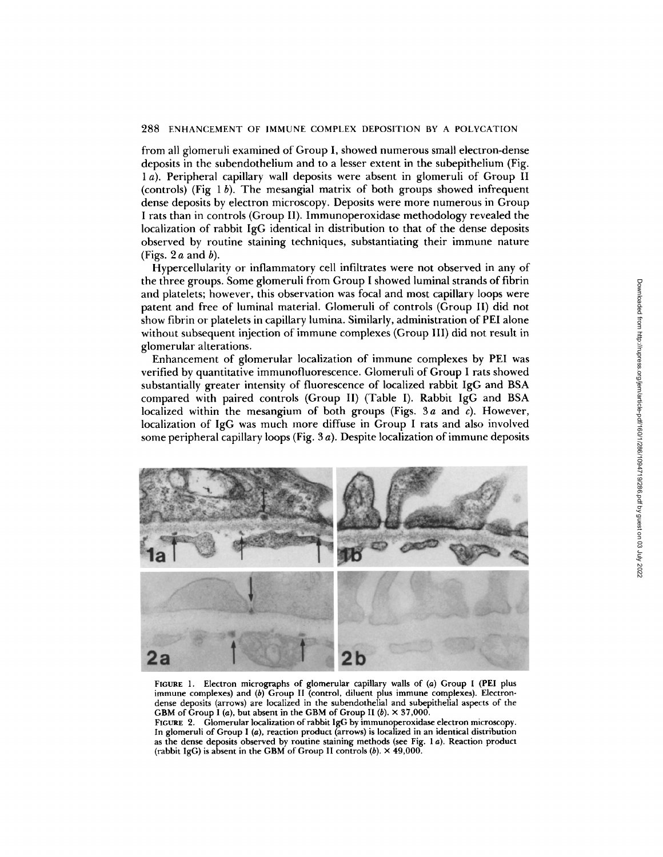#### 288 ENHANCEMENT OF IMMUNE COMPLEX DEPOSITION BY A POLYCATION

from all glomeruli examined of Group I, showed numerous small electron-dense deposits in the subendothelium and to a lesser extent in the subepithelium (Fig. 1 a). Peripheral capillary wall deposits were absent in glomeruli of Group II (controls) (Fig  $1 b$ ). The mesangial matrix of both groups showed infrequent dense deposits by electron microscopy. Deposits were more numerous in Group I rats than in controls (Group II). Immunoperoxidase methodology revealed the localization of rabbit IgG identical in distribution to that of the dense deposits observed by routine staining techniques, substantiating their immune nature (Figs.  $2a$  and  $b$ ).

Hypercellularity or inflammatory cell infiltrates were not observed in any of the three groups. Some giomeruli from Group I showed luminal strands of fibrin and platelets; however, this observation was focal and most capillary loops were patent and free of luminal material. Glomeruli of controls (Group II) did not show fibrin or platelets in capillary lumina. Similarly, administration of PEI alone without subsequent injection of immune complexes (Group III) did not result in glomerular alterations.

Enhancement of glomerular localization of immune complexes by PEI was verified by quantitative immunofluorescence. Glomeruli of Group I rats showed substantially greater intensity of fluorescence of localized rabbit IgG and BSA compared with paired controls (Group II) (Table I). Rabbit IgG and BSA localized within the mesangium of both groups (Figs. 3a and  $\epsilon$ ). However, localization of IgG was much more diffuse in Group I rats and also involved some peripheral capillary loops (Fig. 3 a). Despite localization of immune deposits



FIGURE 1. Electron micrographs of glomerular capillary walls of (a) Group I (PEI plus immune complexes) and (b) Group II (control, diluent plus immune complexes). Electrondense deposits (arrows) are localized in the subendothelial and subepithelial aspects of the GBM of Group I (a), but absent in the GBM of Group II (b).  $\times$  37,000.

FICURE 2. Glomerular localization of rabbit IgG by immunoperoxidase electron microscopy. In glomeruli of Group I (a), reaction product (arrows) is localized in an identical distribution as the **dense deposits** observed by routine staining methods (see Fig. 1 a). Reaction product (rabbit IgG) is absent in the GBM of Group II controls  $(b) \times 49,000$ .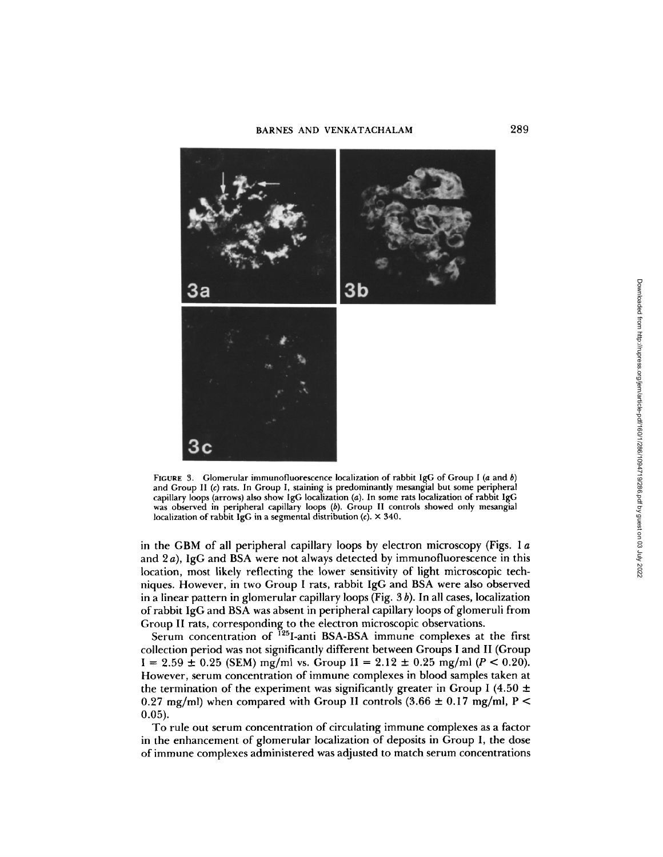

FIGURE 3. Glomerular immunofluorescence localization of rabbit IgG of Group I (a and b) and Group II (c) rats. In Group I, staining is predominantly mesangial but some peripheral capillary loops (arrows) also show IgG localization (a). In some rats localization of rabbit IgG was observed in peripheral capillary loops (b). Group II controls showed only mesangial localization of rabbit IgG in a segmental distribution  $(c)$ .  $\times$  340.

in the GBM of all peripheral capillary loops by electron microscopy (Figs. 1  $\alpha$ and 2 a), IgG and BSA were not always detected by immunofluorescence in this location, most likely reflecting the lower sensitivity of light microscopic techniques. However, in two Group I rats, rabbit IgG and BSA were also observed in a linear pattern in glomerular capillary loops (Fig.  $3 b$ ). In all cases, localization of rabbit IgG and BSA was absent in peripheral capillary loops of glomeruli from Group II rats, corresponding to the electron microscopic observations.

Serum concentration of  $^{125}$ I-anti BSA-BSA immune complexes at the first collection period was not significantly different between Groups I and II (Group  $I = 2.59 \pm 0.25$  (SEM) mg/ml vs. Group  $II = 2.12 \pm 0.25$  mg/ml ( $P < 0.20$ ). However, serum concentration of immune complexes in blood samples taken at the termination of the experiment was significantly greater in Group I (4.50  $\pm$ 0.27 mg/ml) when compared with Group II controls  $(3.66 \pm 0.17 \text{ mg/ml}, P <$ o.o5).

To rule out serum concentration of circulating immune complexes as a factor in the enhancement of glomerular localization of deposits in Group I, the dose of immune complexes administered was adjusted to match serum concentrations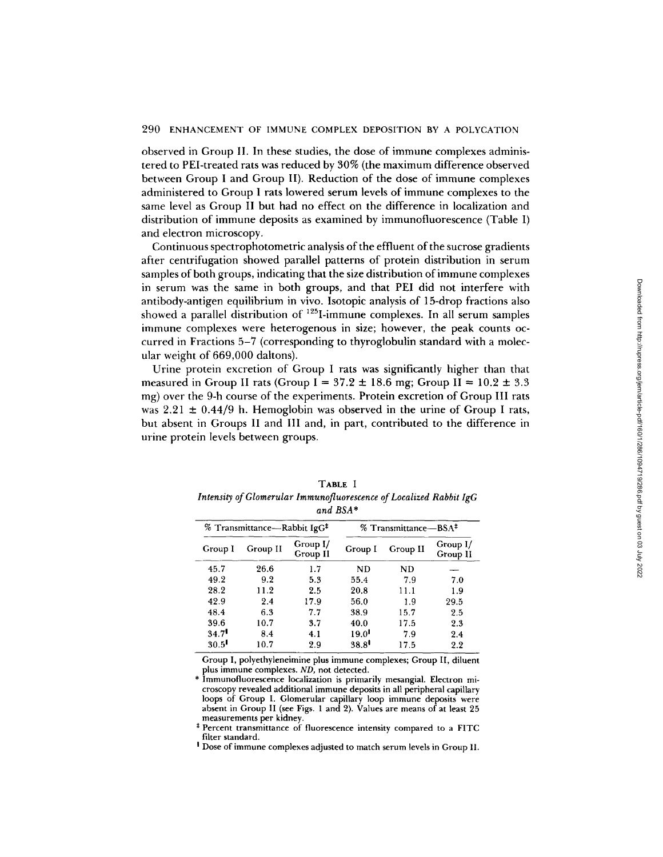observed in Group II. In these studies, the dose of immune complexes administered to PEI-treated rats was reduced by 30% (the maximum difference observed between Group I and Group II). Reduction of the dose of immune complexes administered to Group I rats lowered serum levels of immune complexes to the same level as Group II but had no effect on the difference in localization and distribution of immune deposits as examined by immunofluorescence (Table I) and electron microscopy.

Continuous spectrophotometric analysis of the effluent of the sucrose gradients after centrifugation showed parallel patterns of protein distribution in serum samples of both groups, indicating that the size distribution of immune complexes in serum was the same in both groups, and that PEI did not interfere with antibody-antigen equilibrium in vivo. Isotopic analysis of 15-drop fractions also showed a parallel distribution of <sup>125</sup>I-immune complexes. In all serum samples immune complexes were heterogenous in size; however, the peak counts occurred in Fractions 5-7 (corresponding to thyroglobulin standard with a molecular weight of 669,000 daltons).

Urine protein excretion of Group I rats was significantly higher than that measured in Group II rats (Group I =  $37.2 \pm 18.6$  mg; Group II =  $10.2 \pm 3.3$ mg) over the 9-h course of the experiments. Protein excretion of Group III rats was  $2.21 \pm 0.44/9$  h. Hemoglobin was observed in the urine of Group I rats, but absent in Groups II and III and, in part, contributed to the difference in urine protein levels between groups.

| % Transmittance—Rabbit IgG <sup>‡</sup> |          |                      | % Transmittance—BSA <sup>‡</sup> |          |                      |
|-----------------------------------------|----------|----------------------|----------------------------------|----------|----------------------|
| Group I                                 | Group II | Group I/<br>Group II | Group I                          | Group II | Group I/<br>Group II |
| 45.7                                    | 26.6     | 1.7                  | ND                               | ND       |                      |
| 49.2                                    | 9.2      | 5.3                  | 55.4                             | 7.9      | 7.0                  |
| 28.2                                    | 11.2     | 2.5                  | 20.8                             | 11.1     | 1.9                  |
| 42.9                                    | 2.4      | 17.9                 | 56.0                             | 1.9      | 29.5                 |
| 48.4                                    | 6.3      | 7.7                  | 38.9                             | 15.7     | 2.5                  |
| 39.6                                    | 10.7     | 3.7                  | 40.0                             | 17.5     | 2.3                  |
| 34.7                                    | 8.4      | 4.1                  | $19.0$ <sup>1</sup>              | 7.9      | 2.4                  |
| $30.5$ <sup>1</sup>                     | 10.7     | 2.9                  | $38.8$ <sup>1</sup>              | 17.5     | 2.2                  |

| TABLE I                                                            |
|--------------------------------------------------------------------|
| Intensity of Glomerular Immunofluorescence of Localized Rabbit IgG |
| $-1$ DCA*                                                          |

Group I, polyethyleneimine plus immune complexes; Group II, diluent plus immune complexes. *ND,* not detected.

Immunofluorescence localization is primarily mesangial. Electron microscopy revealed additional immune deposits in all peripheral capillary loops of Group I. Glomerular capillary loop immune deposits were absent in Group II (see Figs. 1 and 2). Values are means of at least 25 measurements per kidney

\* Percent transmittance of fluorescence intensity compared to a FITC filter standard.

! Dose of immune complexes adjusted to match serum levels in Group I1.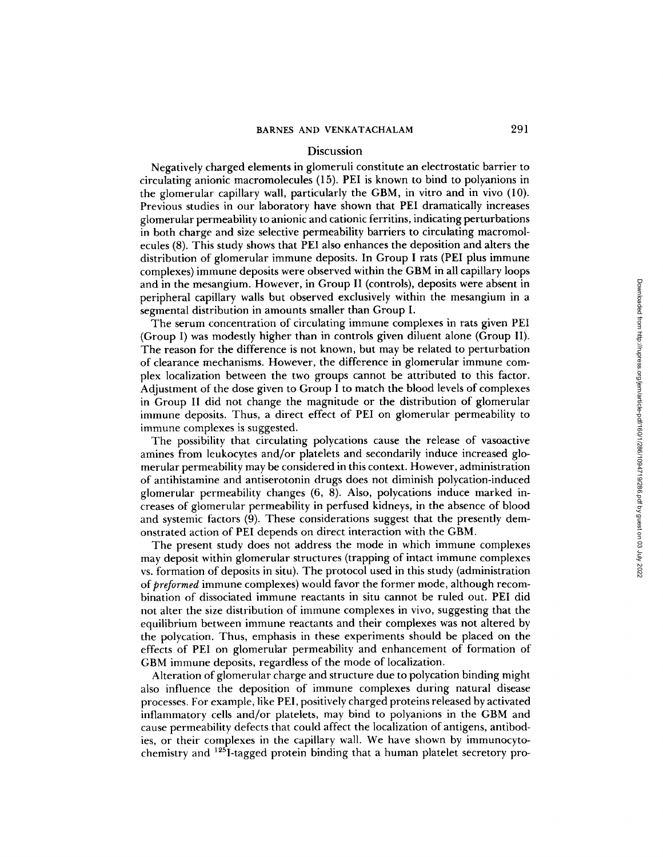# Discussion

Negatively charged elements in glomeruli constitute an electrostatic barrier to circulating anionic macromolecules (1 5). PEI is known to bind to polyanions in the glomerular capillary wall, particularly the GBM, in vitro and in vivo  $(10)$ . Previous studies in our laboratory have shown that PEI dramatically increases g|omerular permeability to anionic and cationic ferritins, indicating perturbations in both charge and size selective permeability barriers to circulating macromolecules (8). This study shows that PEI also enhances the deposition and alters the distribution of glomerular immune deposits. In Group I rats (PEI plus immune complexes) immune deposits were observed within the GBM in all capillary loops and in the mesangium. However, in Group II (controls), deposits were absent in peripheral capillary walls but observed exclusively within the mesangium in a segmental distribution in amounts smaller than Group I.

The serum concentration of circulating immune complexes in rats given PEI (Group I) was modestly higher than in controls given diluent alone (Group II). The reason for the difference is not known, but may be related to perturbation of clearance mechanisms. However, the difference in glomerular immune complex localization between the two groups cannot be attributed to this factor. Adjustment of the dose given to Group I to match the blood levels of complexes in Group II did not change the magnitude or the distribution of giomerular immune deposits. Thus, a direct effect of PEI on glomerular permeability to immune complexes is suggested.

The possibility that circulating polycations cause the release of vasoactive amines from leukocytes and/or platelets and secondarily induce increased glomerular permeability may be considered in this context. However, administration of antihistamine and antiserotonin drugs does not diminish polycation-induced glomerular permeability changes (6, 8). Also, polycations induce marked increases of glomerular permeability in perfused kidneys, in the absence of blood and systemic factors (9). These considerations suggest that the presently demonstrated action of PEI depends on direct interaction with the GBM.

The present study does not address the mode in which immune complexes may deposit within glomerular structures (trapping of intact immune complexes vs. formation of deposits in situ). The protocol used in this study (administration *of preformed* immune complexes) would favor the former mode, although recombination of dissociated immune reactants in situ cannot be ruled out. PEI did not alter the size distribution of immune complexes in vivo, suggesting that the equilibrium between immune reactants and their complexes was not altered by the polycation. Thus, emphasis in these experiments should be placed on the effects of PEI on glomerular permeability and enhancement of formation of GBM immune deposits, regardless of the mode of localization.

Alteration of glomerular charge and structure due to polycation binding might also influence the deposition of immune complexes during natural disease processes. For example, like PEI, positively charged proteins released by activated inflammatory cells and/or platelets, may bind to polyanions in the GBM and cause permeability defects that could affect the localization of antigens, antibodies, or their complexes in the capillary wall. We have shown by immunocytochemistry and 125I-tagged protein binding that a human platelet secretory pro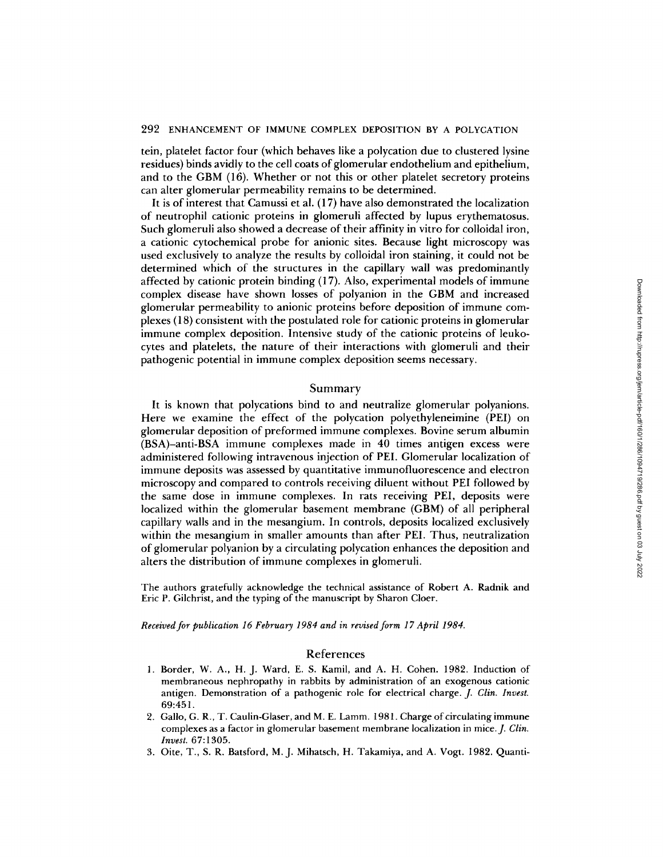tein, platelet factor four (which behaves like a polycation due to clustered lysine residues) binds avidly to the cell coats of glomerular endothelium and epithelium, and to the GBM (16). Whether or not this or other platelet secretory proteins can alter glomerular permeability remains to be determined.

It is of interest that Camussi et al. (17) have also demonstrated the localization of neutrophil cationic proteins in giomeruli affected by lupus erythematosus. Such glomeruli also showed a decrease of their affinity in vitro for colloidal iron, a cationic cytochemical probe for anionic sites. Because light microscopy was used exclusively to analyze the results by colloidal iron staining, it could not be determined which of the structures in the capillary wall was predominantly affected by cationic protein binding (l 7). Also, experimental models of immune complex disease have shown losses of polyanion in the GBM and increased glomerular permeability to anionic proteins before deposition of immune complexes (18) consistent with the postulated role for cationic proteins in glomerular immune complex deposition. Intensive study of the cationic proteins of leukocytes and platelets, the nature of their interactions with glomeruli and their pathogenic potential in immune complex deposition seems necessary.

#### Summary

It is known that polycations bind to and neutralize glomerular polyanions. Here we examine the effect of the polycation polyethyleneimine (PEI) on glomerular deposition of preformed immune complexes. Bovine serum albumin (BSA)-anti-BSA immune complexes made in 40 times antigen excess were administered following intravenous injection of PEI. Glomerular localization of immune deposits was assessed by quantitative immunofluorescence and electron microscopy and compared to controls receiving diluent without PEI followed by the same dose in immune complexes. In rats receiving PEI, deposits were localized within the glomerular basement membrane (GBM) of all peripheral capillary walls and in the mesangium. In controls, deposits localized exclusively within the mesangium in smaller amounts than after PEI. Thus, neutralization of glomerular polyanion by a circulating polycation enhances the deposition and alters the distribution of immune complexes in glomeruli.

The authors gratefully acknowledge the technical assistance of Robert A. Radnik and Eric P. Gilchrist, and the typing of the manuscript by Sharon Cloer.

*Received for publication 16 February 1984 and in revised form 17 April 1984.* 

### References

- 1. Border, W. A., H. J. Ward, E. S. Kamil, and A. H. Cohen. 1982. Induction of membraneous nephropathy in rabbits by administration of an exogenous cationic antigen. Demonstration of a pathogenic role for electrical charge. *J. Clin. Invest.*  69:451.
- 2. Gallo, G. R., T. Caulin-Glaser, and M. E. Lamm. 1981. Charge of circulating immune complexes as a factor in glomerular basement membrane localization in mice. *J. Clin. Invest.* 67:1305.
- 3. Oite, T., S. R. Batsford, M.J. Mihatsch, H. Takamiya, and A. Vogt. 1982. Quanti-